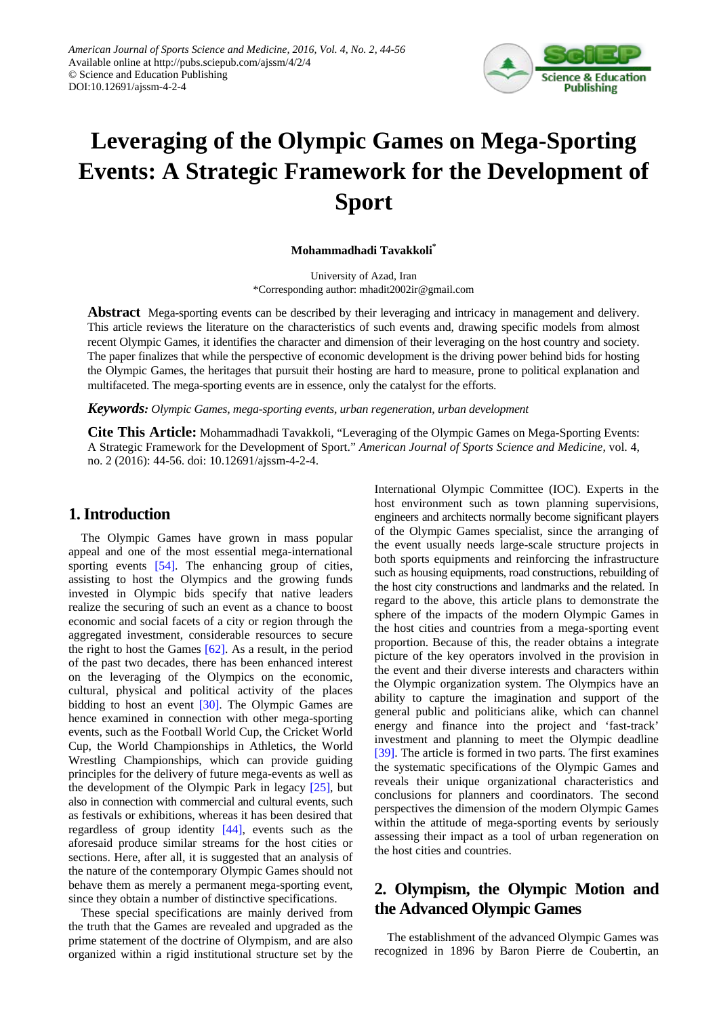

# **Leveraging of the Olympic Games on Mega-Sporting Events: A Strategic Framework for the Development of Sport**

**Mohammadhadi Tavakkoli\***

University of Azad, Iran \*Corresponding author: mhadit2002ir@gmail.com

**Abstract** Mega-sporting events can be described by their leveraging and intricacy in management and delivery. This article reviews the literature on the characteristics of such events and, drawing specific models from almost recent Olympic Games, it identifies the character and dimension of their leveraging on the host country and society. The paper finalizes that while the perspective of economic development is the driving power behind bids for hosting the Olympic Games, the heritages that pursuit their hosting are hard to measure, prone to political explanation and multifaceted. The mega-sporting events are in essence, only the catalyst for the efforts.

*Keywords: Olympic Games, mega-sporting events, urban regeneration, urban development*

**Cite This Article:** Mohammadhadi Tavakkoli, "Leveraging of the Olympic Games on Mega-Sporting Events: A Strategic Framework for the Development of Sport." *American Journal of Sports Science and Medicine*, vol. 4, no. 2 (2016): 44-56. doi: 10.12691/ajssm-4-2-4.

# **1. Introduction**

The Olympic Games have grown in mass popular appeal and one of the most essential mega-international sporting events [\[54\].](#page-10-0) The enhancing group of cities, assisting to host the Olympics and the growing funds invested in Olympic bids specify that native leaders realize the securing of such an event as a chance to boost economic and social facets of a city or region through the aggregated investment, considerable resources to secure the right to host the Games  $[62]$ . As a result, in the period of the past two decades, there has been enhanced interest on the leveraging of the Olympics on the economic, cultural, physical and political activity of the places bidding to host an event [\[30\].](#page-10-2) The Olympic Games are hence examined in connection with other mega-sporting events, such as the Football World Cup, the Cricket World Cup, the World Championships in Athletics, the World Wrestling Championships, which can provide guiding principles for the delivery of future mega-events as well as the development of the Olympic Park in legacy [\[25\],](#page-10-3) but also in connection with commercial and cultural events, such as festivals or exhibitions, whereas it has been desired that regardless of group identity [\[44\],](#page-10-4) events such as the aforesaid produce similar streams for the host cities or sections. Here, after all, it is suggested that an analysis of the nature of the contemporary Olympic Games should not behave them as merely a permanent mega-sporting event, since they obtain a number of distinctive specifications.

These special specifications are mainly derived from the truth that the Games are revealed and upgraded as the prime statement of the doctrine of Olympism, and are also organized within a rigid institutional structure set by the International Olympic Committee (IOC). Experts in the host environment such as town planning supervisions, engineers and architects normally become significant players of the Olympic Games specialist, since the arranging of the event usually needs large-scale structure projects in both sports equipments and reinforcing the infrastructure such as housing equipments, road constructions, rebuilding of the host city constructions and landmarks and the related. In regard to the above, this article plans to demonstrate the sphere of the impacts of the modern Olympic Games in the host cities and countries from a mega-sporting event proportion. Because of this, the reader obtains a integrate picture of the key operators involved in the provision in the event and their diverse interests and characters within the Olympic organization system. The Olympics have an ability to capture the imagination and support of the general public and politicians alike, which can channel energy and finance into the project and 'fast-track' investment and planning to meet the Olympic deadline [\[39\].](#page-10-5) The article is formed in two parts. The first examines the systematic specifications of the Olympic Games and reveals their unique organizational characteristics and conclusions for planners and coordinators. The second perspectives the dimension of the modern Olympic Games within the attitude of mega-sporting events by seriously assessing their impact as a tool of urban regeneration on the host cities and countries.

# **2. Olympism, the Olympic Motion and the Advanced Olympic Games**

The establishment of the advanced Olympic Games was recognized in 1896 by Baron Pierre de Coubertin, an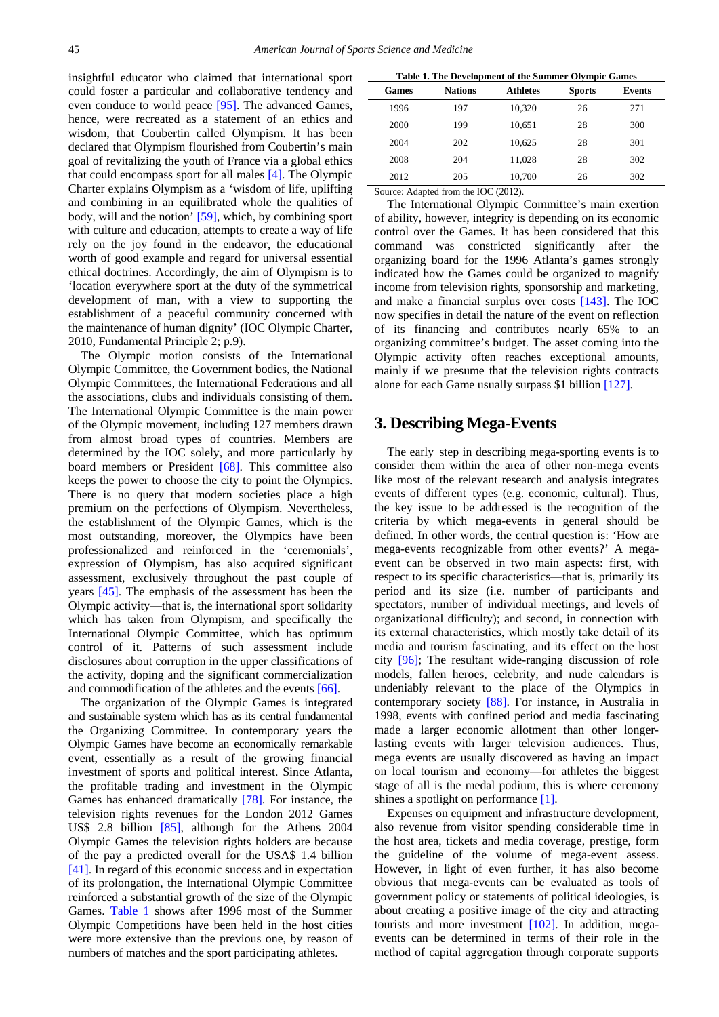insightful educator who claimed that international sport could foster a particular and collaborative tendency and even conduce to world peace [\[95\].](#page-11-0) The advanced Games, hence, were recreated as a statement of an ethics and wisdom, that Coubertin called Olympism. It has been declared that Olympism flourished from Coubertin's main goal of revitalizing the youth of France via a global ethics that could encompass sport for all males [\[4\].](#page-9-0) The Olympic Charter explains Olympism as a 'wisdom of life, uplifting and combining in an equilibrated whole the qualities of body, will and the notion' [\[59\],](#page-10-6) which, by combining sport with culture and education, attempts to create a way of life rely on the joy found in the endeavor, the educational worth of good example and regard for universal essential ethical doctrines. Accordingly, the aim of Olympism is to 'location everywhere sport at the duty of the symmetrical development of man, with a view to supporting the establishment of a peaceful community concerned with the maintenance of human dignity' (IOC Olympic Charter, 2010, Fundamental Principle 2; p.9).

The Olympic motion consists of the International Olympic Committee, the Government bodies, the National Olympic Committees, the International Federations and all the associations, clubs and individuals consisting of them. The International Olympic Committee is the main power of the Olympic movement, including 127 members drawn from almost broad types of countries. Members are determined by the IOC solely, and more particularly by board members or President [\[68\].](#page-10-7) This committee also keeps the power to choose the city to point the Olympics. There is no query that modern societies place a high premium on the perfections of Olympism. Nevertheless, the establishment of the Olympic Games, which is the most outstanding, moreover, the Olympics have been professionalized and reinforced in the 'ceremonials', expression of Olympism, has also acquired significant assessment, exclusively throughout the past couple of years [\[45\].](#page-10-8) The emphasis of the assessment has been the Olympic activity—that is, the international sport solidarity which has taken from Olympism, and specifically the International Olympic Committee, which has optimum control of it. Patterns of such assessment include disclosures about corruption in the upper classifications of the activity, doping and the significant commercialization and commodification of the athletes and the event[s \[66\].](#page-10-9)

The organization of the Olympic Games is integrated and sustainable system which has as its central fundamental the Organizing Committee. In contemporary years the Olympic Games have become an economically remarkable event, essentially as a result of the growing financial investment of sports and political interest. Since Atlanta, the profitable trading and investment in the Olympic Games has enhanced dramatically [\[78\].](#page-11-1) For instance, the television rights revenues for the London 2012 Games US\$ 2.8 billion [\[85\],](#page-11-2) although for the Athens 2004 Olympic Games the television rights holders are because of the pay a predicted overall for the USA\$ 1.4 billion [\[41\].](#page-10-10) In regard of this economic success and in expectation of its prolongation, the International Olympic Committee reinforced a substantial growth of the size of the Olympic Games. [Table 1](#page-1-0) shows after 1996 most of the Summer Olympic Competitions have been held in the host cities were more extensive than the previous one, by reason of numbers of matches and the sport participating athletes.

<span id="page-1-0"></span>

| Table 1. The Development of the Summer Olympic Games |                |                 |               |               |  |
|------------------------------------------------------|----------------|-----------------|---------------|---------------|--|
| <b>Games</b>                                         | <b>Nations</b> | <b>Athletes</b> | <b>Sports</b> | <b>Events</b> |  |
| 1996                                                 | 197            | 10.320          | 26            | 271           |  |
| 2000                                                 | 199            | 10.651          | 28            | 300           |  |
| 2004                                                 | 202            | 10.625          | 28            | 301           |  |
| 2008                                                 | 204            | 11,028          | 28            | 302           |  |
| 2012                                                 | 205            | 10,700          | 26            | 302           |  |
|                                                      | .<br>.         |                 |               |               |  |

Source: Adapted from the IOC (2012).

The International Olympic Committee's main exertion of ability, however, integrity is depending on its economic control over the Games. It has been considered that this command was constricted significantly after the organizing board for the 1996 Atlanta's games strongly indicated how the Games could be organized to magnify income from television rights, sponsorship and marketing, and make a financial surplus over costs [\[143\].](#page-12-0) The IOC now specifies in detail the nature of the event on reflection of its financing and contributes nearly 65% to an organizing committee's budget. The asset coming into the Olympic activity often reaches exceptional amounts, mainly if we presume that the television rights contracts alone for each Game usually surpass \$1 billion [\[127\].](#page-11-3)

# **3. Describing Mega-Events**

The early step in describing mega-sporting events is to consider them within the area of other non-mega events like most of the relevant research and analysis integrates events of different types (e.g. economic, cultural). Thus, the key issue to be addressed is the recognition of the criteria by which mega-events in general should be defined. In other words, the central question is: 'How are mega-events recognizable from other events?' A megaevent can be observed in two main aspects: first, with respect to its specific characteristics—that is, primarily its period and its size (i.e. number of participants and spectators, number of individual meetings, and levels of organizational difficulty); and second, in connection with its external characteristics, which mostly take detail of its media and tourism fascinating, and its effect on the host city [\[96\];](#page-11-4) The resultant wide-ranging discussion of role models, fallen heroes, celebrity, and nude calendars is undeniably relevant to the place of the Olympics in contemporary society [\[88\].](#page-11-5) For instance, in Australia in 1998, events with confined period and media fascinating made a larger economic allotment than other longerlasting events with larger television audiences. Thus, mega events are usually discovered as having an impact on local tourism and economy—for athletes the biggest stage of all is the medal podium, this is where ceremony shines a spotlight on performanc[e \[1\].](#page-9-1)

Expenses on equipment and infrastructure development, also revenue from visitor spending considerable time in the host area, tickets and media coverage, prestige, form the guideline of the volume of mega-event assess. However, in light of even further, it has also become obvious that mega-events can be evaluated as tools of government policy or statements of political ideologies, is about creating a positive image of the city and attracting tourists and more investment [\[102\].](#page-11-6) In addition, megaevents can be determined in terms of their role in the method of capital aggregation through corporate supports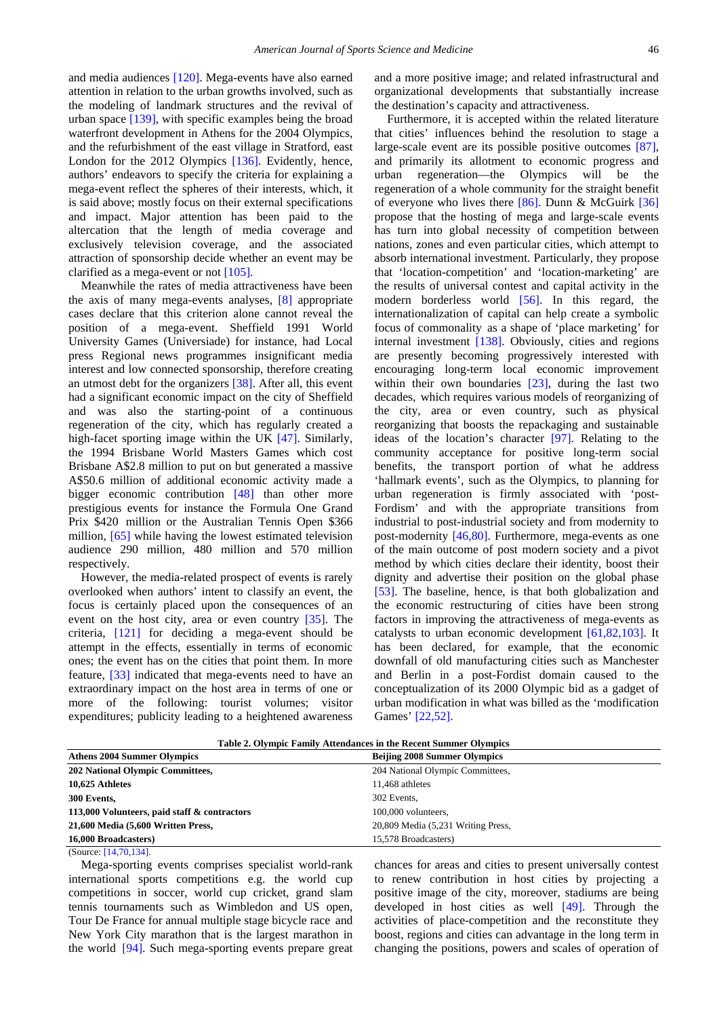and media audiences [\[120\].](#page-11-7) Mega-events have also earned attention in relation to the urban growths involved, such as the modeling of landmark structures and the revival of urban space [\[139\],](#page-12-1) with specific examples being the broad waterfront development in Athens for the 2004 Olympics, and the refurbishment of the east village in Stratford, east London for the 2012 Olympics [\[136\].](#page-12-2) Evidently, hence, authors' endeavors to specify the criteria for explaining a mega-event reflect the spheres of their interests, which, it is said above; mostly focus on their external specifications and impact. Major attention has been paid to the altercation that the length of media coverage and exclusively television coverage, and the associated attraction of sponsorship decide whether an event may be clarified as a mega-event or no[t \[105\].](#page-11-8)

Meanwhile the rates of media attractiveness have been the axis of many mega-events analyses, [\[8\]](#page-9-2) appropriate cases declare that this criterion alone cannot reveal the position of a mega-event. Sheffield 1991 World University Games (Universiade) for instance, had Local press Regional news programmes insignificant media interest and low connected sponsorship, therefore creating an utmost debt for the organizers [\[38\].](#page-10-11) After all, this event had a significant economic impact on the city of Sheffield and was also the starting-point of a continuous regeneration of the city, which has regularly created a high-facet sporting image within the UK [\[47\].](#page-10-12) Similarly, the 1994 Brisbane World Masters Games which cost Brisbane A\$2.8 million to put on but generated a massive A\$50.6 million of additional economic activity made a bigger economic contribution [\[48\]](#page-10-13) than other more prestigious events for instance the Formula One Grand Prix \$420 million or the Australian Tennis Open \$366 million, [\[65\]](#page-10-14) while having the lowest estimated television audience 290 million, 480 million and 570 million respectively.

However, the media-related prospect of events is rarely overlooked when authors' intent to classify an event, the focus is certainly placed upon the consequences of an event on the host city, area or even country [\[35\].](#page-10-15) The criteria, [\[121\]](#page-11-9) for deciding a mega-event should be attempt in the effects, essentially in terms of economic ones; the event has on the cities that point them. In more feature, [\[33\]](#page-10-16) indicated that mega-events need to have an extraordinary impact on the host area in terms of one or more of the following: tourist volumes; visitor expenditures; publicity leading to a heightened awareness and a more positive image; and related infrastructural and organizational developments that substantially increase the destination's capacity and attractiveness.

Furthermore, it is accepted within the related literature that cities' influences behind the resolution to stage a large-scale event are its possible positive outcomes [\[87\],](#page-11-10) and primarily its allotment to economic progress and urban regeneration—the Olympics will be the regeneration of a whole community for the straight benefit of everyone who lives there  $[86]$ . Dunn & McGuirk  $[36]$ propose that the hosting of mega and large-scale events has turn into global necessity of competition between nations, zones and even particular cities, which attempt to absorb international investment. Particularly, they propose that 'location-competition' and 'location-marketing' are the results of universal contest and capital activity in the modern borderless world [\[56\].](#page-10-18) In this regard, the internationalization of capital can help create a symbolic focus of commonality as a shape of 'place marketing' for internal investment [\[138\].](#page-12-3) Obviously, cities and regions are presently becoming progressively interested with encouraging long-term local economic improvement within their own boundaries [\[23\],](#page-10-19) during the last two decades, which requires various models of reorganizing of the city, area or even country, such as physical reorganizing that boosts the repackaging and sustainable ideas of the location's character [\[97\].](#page-11-12) Relating to the community acceptance for positive long-term social benefits, the transport portion of what he address 'hallmark events', such as the Olympics, to planning for urban regeneration is firmly associated with 'post-Fordism' and with the appropriate transitions from industrial to post-industrial society and from modernity to post-modernity [\[46,80\].](#page-10-20) Furthermore, mega-events as one of the main outcome of post modern society and a pivot method by which cities declare their identity, boost their dignity and advertise their position on the global phase [\[53\].](#page-10-21) The baseline, hence, is that both globalization and the economic restructuring of cities have been strong factors in improving the attractiveness of mega-events as catalysts to urban economic development [\[61,82,103\].](#page-10-22) It has been declared, for example, that the economic downfall of old manufacturing cities such as Manchester and Berlin in a post-Fordist domain caused to the conceptualization of its 2000 Olympic bid as a gadget of urban modification in what was billed as the 'modification Games' [\[22,52\].](#page-10-23)

<span id="page-2-0"></span>

| <b>Athens 2004 Summer Olympics</b>           | <b>Beijing 2008 Summer Olympics</b> |  |
|----------------------------------------------|-------------------------------------|--|
| 202 National Olympic Committees,             | 204 National Olympic Committees,    |  |
| 10,625 Athletes                              | 11,468 athletes                     |  |
| 300 Events,                                  | 302 Events.                         |  |
| 113,000 Volunteers, paid staff & contractors | 100,000 volunteers.                 |  |
| 21,600 Media (5,600 Written Press,           | 20,809 Media (5,231 Writing Press,  |  |
| 16,000 Broadcasters)                         | 15.578 Broadcasters)                |  |
| (Source: $[14,70,134]$ .                     |                                     |  |

**Table 2. Olympic Family Attendances in the Recent Summer Olympics**

Mega-sporting events comprises specialist world-rank international sports competitions e.g. the world cup competitions in soccer, world cup cricket, grand slam tennis tournaments such as Wimbledon and US open, Tour De France for annual multiple stage bicycle race and New York City marathon that is the largest marathon in the world [\[94\].](#page-11-13) Such mega-sporting events prepare great chances for areas and cities to present universally contest to renew contribution in host cities by projecting a positive image of the city, moreover, stadiums are being developed in host cities as well [\[49\].](#page-10-24) Through the activities of place-competition and the reconstitute they boost, regions and cities can advantage in the long term in changing the positions, powers and scales of operation of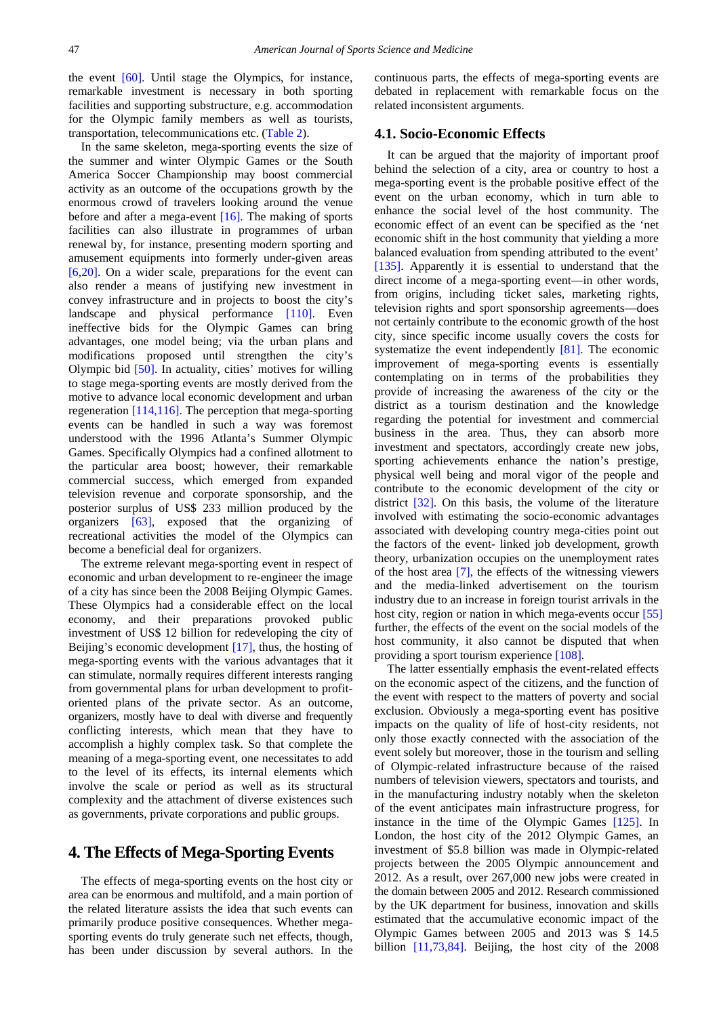the event [\[60\].](#page-10-25) Until stage the Olympics, for instance, remarkable investment is necessary in both sporting facilities and supporting substructure, e.g. accommodation for the Olympic family members as well as tourists, transportation, telecommunications etc. [\(Table 2\)](#page-2-0).

In the same skeleton, mega-sporting events the size of the summer and winter Olympic Games or the South America Soccer Championship may boost commercial activity as an outcome of the occupations growth by the enormous crowd of travelers looking around the venue before and after a mega-event [\[16\].](#page-9-4) The making of sports facilities can also illustrate in programmes of urban renewal by, for instance, presenting modern sporting and amusement equipments into formerly under-given areas [\[6,20\].](#page-9-5) On a wider scale, preparations for the event can also render a means of justifying new investment in convey infrastructure and in projects to boost the city's landscape and physical performance [\[110\].](#page-11-14) Even ineffective bids for the Olympic Games can bring advantages, one model being; via the urban plans and modifications proposed until strengthen the city's Olympic bid [\[50\].](#page-10-26) In actuality, cities' motives for willing to stage mega-sporting events are mostly derived from the motive to advance local economic development and urban regeneration [\[114,116\].](#page-11-15) The perception that mega-sporting events can be handled in such a way was foremost understood with the 1996 Atlanta's Summer Olympic Games. Specifically Olympics had a confined allotment to the particular area boost; however, their remarkable commercial success, which emerged from expanded television revenue and corporate sponsorship, and the posterior surplus of US\$ 233 million produced by the organizers [\[63\],](#page-10-27) exposed that the organizing of recreational activities the model of the Olympics can become a beneficial deal for organizers.

The extreme relevant mega-sporting event in respect of economic and urban development to re-engineer the image of a city has since been the 2008 Beijing Olympic Games. These Olympics had a considerable effect on the local economy, and their preparations provoked public investment of US\$ 12 billion for redeveloping the city of Beijing's economic development [\[17\],](#page-9-6) thus, the hosting of mega-sporting events with the various advantages that it can stimulate, normally requires different interests ranging from governmental plans for urban development to profitoriented plans of the private sector. As an outcome, organizers, mostly have to deal with diverse and frequently conflicting interests, which mean that they have to accomplish a highly complex task. So that complete the meaning of a mega-sporting event, one necessitates to add to the level of its effects, its internal elements which involve the scale or period as well as its structural complexity and the attachment of diverse existences such as governments, private corporations and public groups.

# **4. The Effects of Mega-Sporting Events**

The effects of mega-sporting events on the host city or area can be enormous and multifold, and a main portion of the related literature assists the idea that such events can primarily produce positive consequences. Whether megasporting events do truly generate such net effects, though, has been under discussion by several authors. In the continuous parts, the effects of mega-sporting events are debated in replacement with remarkable focus on the related inconsistent arguments.

#### **4.1. Socio-Economic Effects**

It can be argued that the majority of important proof behind the selection of a city, area or country to host a mega-sporting event is the probable positive effect of the event on the urban economy, which in turn able to enhance the social level of the host community. The economic effect of an event can be specified as the 'net economic shift in the host community that yielding a more balanced evaluation from spending attributed to the event' [\[135\].](#page-12-4) Apparently it is essential to understand that the direct income of a mega-sporting event—in other words, from origins, including ticket sales, marketing rights, television rights and sport sponsorship agreements—does not certainly contribute to the economic growth of the host city, since specific income usually covers the costs for systematize the event independently [\[81\].](#page-11-16) The economic improvement of mega-sporting events is essentially contemplating on in terms of the probabilities they provide of increasing the awareness of the city or the district as a tourism destination and the knowledge regarding the potential for investment and commercial business in the area. Thus, they can absorb more investment and spectators, accordingly create new jobs, sporting achievements enhance the nation's prestige, physical well being and moral vigor of the people and contribute to the economic development of the city or district [\[32\].](#page-10-28) On this basis, the volume of the literature involved with estimating the socio-economic advantages associated with developing country mega-cities point out the factors of the event- linked job development, growth theory, urbanization occupies on the unemployment rates of the host area [\[7\],](#page-9-7) the effects of the witnessing viewers and the media-linked advertisement on the tourism industry due to an increase in foreign tourist arrivals in the host city, region or nation in which mega-events occur [\[55\]](#page-10-29) further, the effects of the event on the social models of the host community, it also cannot be disputed that when providing a sport tourism experience [\[108\].](#page-11-17)

The latter essentially emphasis the event-related effects on the economic aspect of the citizens, and the function of the event with respect to the matters of poverty and social exclusion. Obviously a mega-sporting event has positive impacts on the quality of life of host-city residents, not only those exactly connected with the association of the event solely but moreover, those in the tourism and selling of Olympic-related infrastructure because of the raised numbers of television viewers, spectators and tourists, and in the manufacturing industry notably when the skeleton of the event anticipates main infrastructure progress, for instance in the time of the Olympic Games [\[125\].](#page-11-18) In London, the host city of the 2012 Olympic Games, an investment of \$5.8 billion was made in Olympic-related projects between the 2005 Olympic announcement and 2012. As a result, over 267,000 new jobs were created in the domain between 2005 and 2012. Research commissioned by the UK department for business, innovation and skills estimated that the accumulative economic impact of the Olympic Games between 2005 and 2013 was \$ 14.5 billion [\[11,73,84\].](#page-9-8) Beijing, the host city of the 2008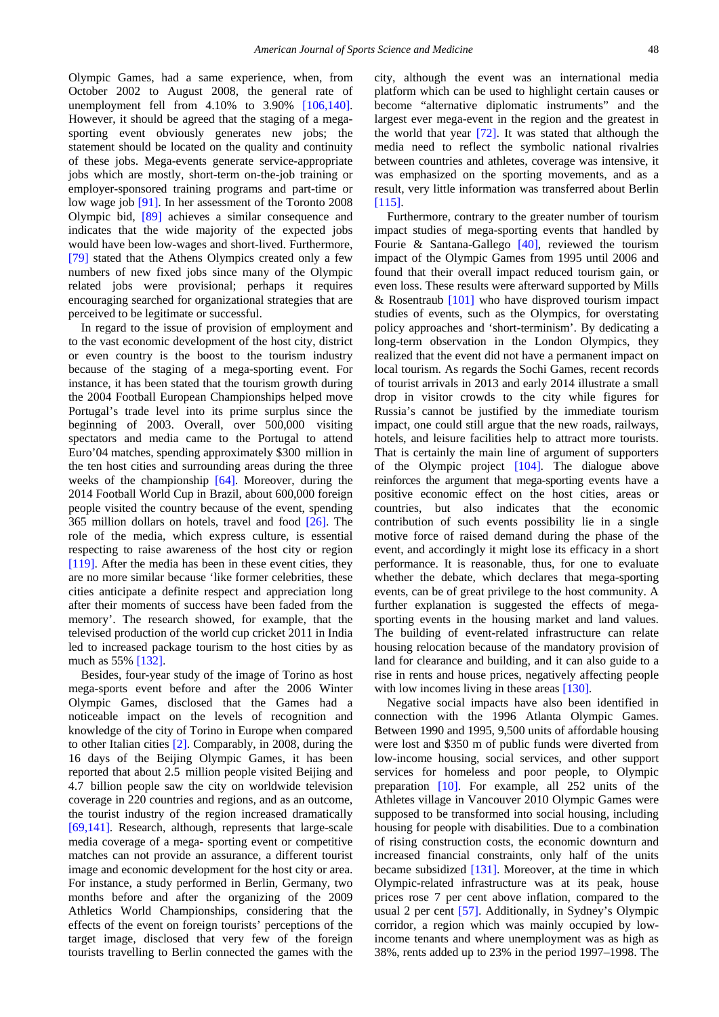Olympic Games, had a same experience, when, from October 2002 to August 2008, the general rate of unemployment fell from 4.10% to 3.90% [\[106,140\].](#page-11-19) However, it should be agreed that the staging of a megasporting event obviously generates new jobs; the statement should be located on the quality and continuity of these jobs. Mega-events generate service-appropriate jobs which are mostly, short-term on-the-job training or employer-sponsored training programs and part-time or low wage job [\[91\].](#page-11-20) In her assessment of the Toronto 2008 Olympic bid, [\[89\]](#page-11-21) achieves a similar consequence and indicates that the wide majority of the expected jobs would have been low-wages and short-lived. Furthermore, [\[79\]](#page-11-22) stated that the Athens Olympics created only a few numbers of new fixed jobs since many of the Olympic related jobs were provisional; perhaps it requires encouraging searched for organizational strategies that are perceived to be legitimate or successful.

In regard to the issue of provision of employment and to the vast economic development of the host city, district or even country is the boost to the tourism industry because of the staging of a mega-sporting event. For instance, it has been stated that the tourism growth during the 2004 Football European Championships helped move Portugal's trade level into its prime surplus since the beginning of 2003. Overall, over 500,000 visiting spectators and media came to the Portugal to attend Euro'04 matches, spending approximately \$300 million in the ten host cities and surrounding areas during the three weeks of the championship [\[64\].](#page-10-30) Moreover, during the 2014 Football World Cup in Brazil, about 600,000 foreign people visited the country because of the event, spending 365 million dollars on hotels, travel and food  $[26]$ . The role of the media, which express culture, is essential respecting to raise awareness of the host city or region [\[119\].](#page-11-23) After the media has been in these event cities, they are no more similar because 'like former celebrities, these cities anticipate a definite respect and appreciation long after their moments of success have been faded from the memory'. The research showed, for example, that the televised production of the world cup cricket 2011 in India led to increased package tourism to the host cities by as much as 55% [\[132\].](#page-12-5)

Besides, four-year study of the image of Torino as host mega-sports event before and after the 2006 Winter Olympic Games, disclosed that the Games had a noticeable impact on the levels of recognition and knowledge of the city of Torino in Europe when compared to other Italian cities [\[2\].](#page-9-9) Comparably, in 2008, during the 16 days of the Beijing Olympic Games, it has been reported that about 2.5 million people visited Beijing and 4.7 billion people saw the city on worldwide television coverage in 220 countries and regions, and as an outcome, the tourist industry of the region increased dramatically [\[69,141\].](#page-10-32) Research, although, represents that large-scale media coverage of a mega- sporting event or competitive matches can not provide an assurance, a different tourist image and economic development for the host city or area. For instance, a study performed in Berlin, Germany, two months before and after the organizing of the 2009 Athletics World Championships, considering that the effects of the event on foreign tourists' perceptions of the target image, disclosed that very few of the foreign tourists travelling to Berlin connected the games with the

city, although the event was an international media platform which can be used to highlight certain causes or become "alternative diplomatic instruments" and the largest ever mega-event in the region and the greatest in the world that year [\[72\].](#page-10-33) It was stated that although the media need to reflect the symbolic national rivalries between countries and athletes, coverage was intensive, it was emphasized on the sporting movements, and as a result, very little information was transferred about Berlin [\[115\].](#page-11-24)

Furthermore, contrary to the greater number of tourism impact studies of mega-sporting events that handled by Fourie & Santana-Gallego [\[40\],](#page-10-34) reviewed the tourism impact of the Olympic Games from 1995 until 2006 and found that their overall impact reduced tourism gain, or even loss. These results were afterward supported by Mills & Rosentraub [\[101\]](#page-11-25) who have disproved tourism impact studies of events, such as the Olympics, for overstating policy approaches and 'short-terminism'. By dedicating a long-term observation in the London Olympics, they realized that the event did not have a permanent impact on local tourism. As regards the Sochi Games, recent records of tourist arrivals in 2013 and early 2014 illustrate a small drop in visitor crowds to the city while figures for Russia's cannot be justified by the immediate tourism impact, one could still argue that the new roads, railways, hotels, and leisure facilities help to attract more tourists. That is certainly the main line of argument of supporters of the Olympic project [\[104\].](#page-11-26) The dialogue above reinforces the argument that mega-sporting events have a positive economic effect on the host cities, areas or countries, but also indicates that the economic contribution of such events possibility lie in a single motive force of raised demand during the phase of the event, and accordingly it might lose its efficacy in a short performance. It is reasonable, thus, for one to evaluate whether the debate, which declares that mega-sporting events, can be of great privilege to the host community. A further explanation is suggested the effects of megasporting events in the housing market and land values. The building of event-related infrastructure can relate housing relocation because of the mandatory provision of land for clearance and building, and it can also guide to a rise in rents and house prices, negatively affecting people with low incomes living in these areas [\[130\].](#page-12-6)

Negative social impacts have also been identified in connection with the 1996 Atlanta Olympic Games. Between 1990 and 1995, 9,500 units of affordable housing were lost and \$350 m of public funds were diverted from low-income housing, social services, and other support services for homeless and poor people, to Olympic preparation [\[10\].](#page-9-10) For example, all 252 units of the Athletes village in Vancouver 2010 Olympic Games were supposed to be transformed into social housing, including housing for people with disabilities. Due to a combination of rising construction costs, the economic downturn and increased financial constraints, only half of the units became subsidized [\[131\].](#page-12-7) Moreover, at the time in which Olympic-related infrastructure was at its peak, house prices rose 7 per cent above inflation, compared to the usual 2 per cent [\[57\].](#page-10-35) Additionally, in Sydney's Olympic corridor, a region which was mainly occupied by lowincome tenants and where unemployment was as high as 38%, rents added up to 23% in the period 1997–1998. The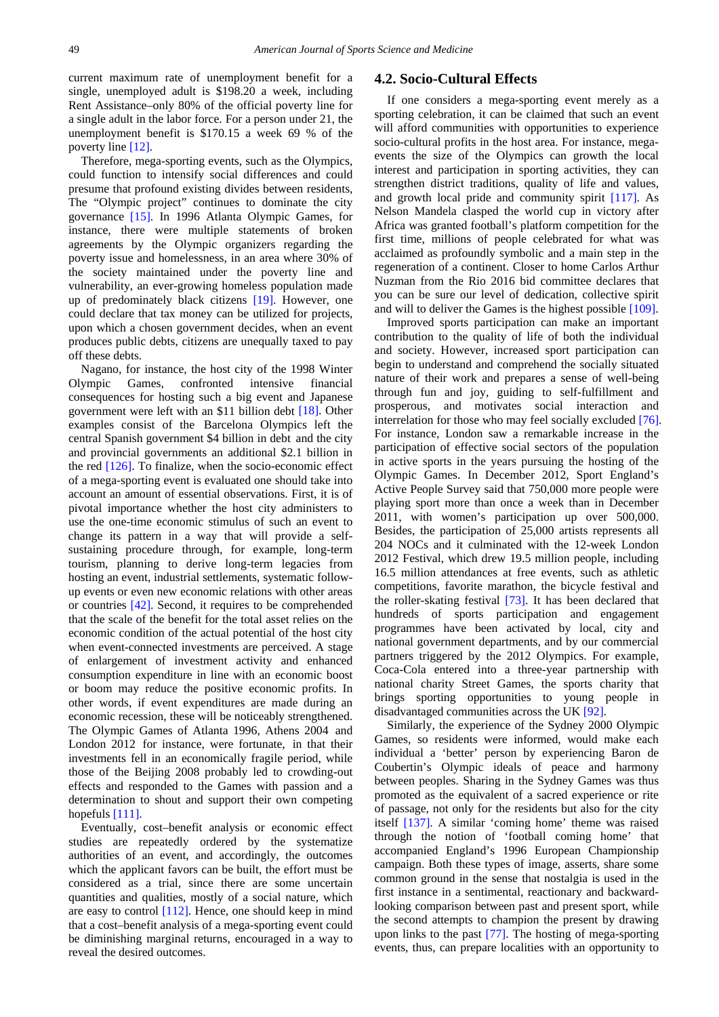current maximum rate of unemployment benefit for a single, unemployed adult is \$198.20 a week, including Rent Assistance–only 80% of the official poverty line for a single adult in the labor force. For a person under 21, the unemployment benefit is \$170.15 a week 69 % of the poverty line [\[12\].](#page-9-11)

Therefore, mega-sporting events, such as the Olympics, could function to intensify social differences and could presume that profound existing divides between residents, The "Olympic project" continues to dominate the city governance [\[15\].](#page-9-12) In 1996 Atlanta Olympic Games, for instance, there were multiple statements of broken agreements by the Olympic organizers regarding the poverty issue and homelessness, in an area where 30% of the society maintained under the poverty line and vulnerability, an ever-growing homeless population made up of predominately black citizens [\[19\].](#page-10-36) However, one could declare that tax money can be utilized for projects, upon which a chosen government decides, when an event produces public debts, citizens are unequally taxed to pay off these debts.

Nagano, for instance, the host city of the 1998 Winter Olympic Games, confronted intensive financial consequences for hosting such a big event and Japanese government were left with an \$11 billion debt [\[18\].](#page-10-37) Other examples consist of the Barcelona Olympics left the central Spanish government \$4 billion in debt and the city and provincial governments an additional \$2.1 billion in the red [\[126\].](#page-11-27) To finalize, when the socio-economic effect of a mega-sporting event is evaluated one should take into account an amount of essential observations. First, it is of pivotal importance whether the host city administers to use the one-time economic stimulus of such an event to change its pattern in a way that will provide a selfsustaining procedure through, for example, long-term tourism, planning to derive long-term legacies from hosting an event, industrial settlements, systematic followup events or even new economic relations with other areas or countries [\[42\].](#page-10-38) Second, it requires to be comprehended that the scale of the benefit for the total asset relies on the economic condition of the actual potential of the host city when event-connected investments are perceived. A stage of enlargement of investment activity and enhanced consumption expenditure in line with an economic boost or boom may reduce the positive economic profits. In other words, if event expenditures are made during an economic recession, these will be noticeably strengthened. The Olympic Games of Atlanta 1996, Athens 2004 and London 2012 for instance, were fortunate, in that their investments fell in an economically fragile period, while those of the Beijing 2008 probably led to crowding-out effects and responded to the Games with passion and a determination to shout and support their own competing hopefuls [111].

Eventually, cost–benefit analysis or economic effect studies are repeatedly ordered by the systematize authorities of an event, and accordingly, the outcomes which the applicant favors can be built, the effort must be considered as a trial, since there are some uncertain quantities and qualities, mostly of a social nature, which are easy to control [\[112\].](#page-11-29) Hence, one should keep in mind that a cost–benefit analysis of a mega-sporting event could be diminishing marginal returns, encouraged in a way to reveal the desired outcomes.

#### **4.2. Socio-Cultural Effects**

If one considers a mega-sporting event merely as a sporting celebration, it can be claimed that such an event will afford communities with opportunities to experience socio-cultural profits in the host area. For instance, megaevents the size of the Olympics can growth the local interest and participation in sporting activities, they can strengthen district traditions, quality of life and values, and growth local pride and community spirit [\[117\].](#page-11-30) As Nelson Mandela clasped the world cup in victory after Africa was granted football's platform competition for the first time, millions of people celebrated for what was acclaimed as profoundly symbolic and a main step in the regeneration of a continent. Closer to home Carlos Arthur Nuzman from the Rio 2016 bid committee declares that you can be sure our level of dedication, collective spirit and will to deliver the Games is the highest possible [\[109\].](#page-11-31)

Improved sports participation can make an important contribution to the quality of life of both the individual and society. However, increased sport participation can begin to understand and comprehend the socially situated nature of their work and prepares a sense of well-being through fun and joy, guiding to self-fulfillment and prosperous, and motivates social interaction and interrelation for those who may feel socially excluded [\[76\].](#page-11-32) For instance, London saw a remarkable increase in the participation of effective social sectors of the population in active sports in the years pursuing the hosting of the Olympic Games. In December 2012, Sport England's Active People Survey said that 750,000 more people were playing sport more than once a week than in December 2011, with women's participation up over 500,000. Besides, the participation of 25,000 artists represents all 204 NOCs and it culminated with the 12-week London 2012 Festival, which drew 19.5 million people, including 16.5 million attendances at free events, such as athletic competitions, favorite marathon, the bicycle festival and the roller-skating festival [\[73\].](#page-10-39) It has been declared that hundreds of sports participation and engagement programmes have been activated by local, city and national government departments, and by our commercial partners triggered by the 2012 Olympics. For example, Coca-Cola entered into a three-year partnership with national charity Street Games, the sports charity that brings sporting opportunities to young people in disadvantaged communities across the UK [\[92\].](#page-11-33)

Similarly, the experience of the Sydney 2000 Olympic Games, so residents were informed, would make each individual a 'better' person by experiencing Baron de Coubertin's Olympic ideals of peace and harmony between peoples. Sharing in the Sydney Games was thus promoted as the equivalent of a sacred experience or rite of passage, not only for the residents but also for the city itself [\[137\].](#page-12-8) A similar 'coming home' theme was raised through the notion of 'football coming home' that accompanied England's 1996 European Championship campaign. Both these types of image, asserts, share some common ground in the sense that nostalgia is used in the first instance in a sentimental, reactionary and backwardlooking comparison between past and present sport, while the second attempts to champion the present by drawing upon links to the past [\[77\].](#page-11-34) The hosting of mega-sporting events, thus, can prepare localities with an opportunity to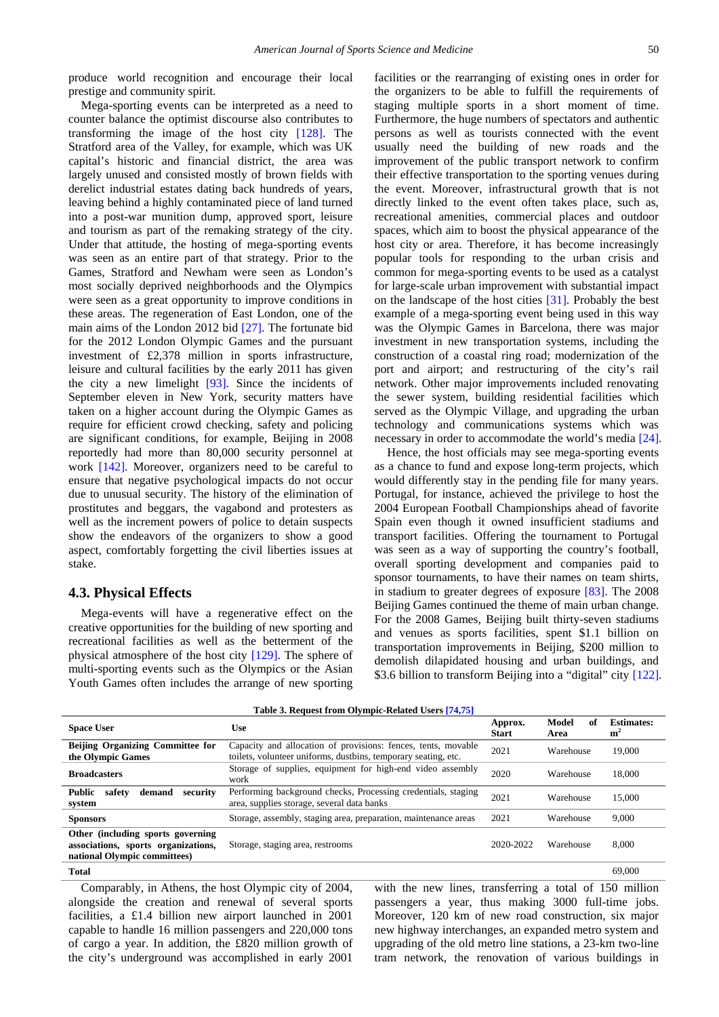produce world recognition and encourage their local prestige and community spirit.

Mega-sporting events can be interpreted as a need to counter balance the optimist discourse also contributes to transforming the image of the host city [\[128\].](#page-11-35) The Stratford area of the Valley, for example, which was UK capital's historic and financial district, the area was largely unused and consisted mostly of brown fields with derelict industrial estates dating back hundreds of years, leaving behind a highly contaminated piece of land turned into a post-war munition dump, approved sport, leisure and tourism as part of the remaking strategy of the city. Under that attitude, the hosting of mega-sporting events was seen as an entire part of that strategy. Prior to the Games, Stratford and Newham were seen as London's most socially deprived neighborhoods and the Olympics were seen as a great opportunity to improve conditions in these areas. The regeneration of East London, one of the main aims of the London 2012 bid [\[27\].](#page-10-40) The fortunate bid for the 2012 London Olympic Games and the pursuant investment of £2,378 million in sports infrastructure, leisure and cultural facilities by the early 2011 has given the city a new limelight [\[93\].](#page-11-36) Since the incidents of September eleven in New York, security matters have taken on a higher account during the Olympic Games as require for efficient crowd checking, safety and policing are significant conditions, for example, Beijing in 2008 reportedly had more than 80,000 security personnel at work [\[142\].](#page-12-9) Moreover, organizers need to be careful to ensure that negative psychological impacts do not occur due to unusual security. The history of the elimination of prostitutes and beggars, the vagabond and protesters as well as the increment powers of police to detain suspects show the endeavors of the organizers to show a good aspect, comfortably forgetting the civil liberties issues at stake.

#### **4.3. Physical Effects**

Mega-events will have a regenerative effect on the creative opportunities for the building of new sporting and recreational facilities as well as the betterment of the physical atmosphere of the host city [\[129\].](#page-12-10) The sphere of multi-sporting events such as the Olympics or the Asian Youth Games often includes the arrange of new sporting facilities or the rearranging of existing ones in order for the organizers to be able to fulfill the requirements of staging multiple sports in a short moment of time. Furthermore, the huge numbers of spectators and authentic persons as well as tourists connected with the event usually need the building of new roads and the improvement of the public transport network to confirm their effective transportation to the sporting venues during the event. Moreover, infrastructural growth that is not directly linked to the event often takes place, such as, recreational amenities, commercial places and outdoor spaces, which aim to boost the physical appearance of the host city or area. Therefore, it has become increasingly popular tools for responding to the urban crisis and common for mega-sporting events to be used as a catalyst for large-scale urban improvement with substantial impact on the landscape of the host cities [\[31\].](#page-10-41) Probably the best example of a mega-sporting event being used in this way was the Olympic Games in Barcelona, there was major investment in new transportation systems, including the construction of a coastal ring road; modernization of the port and airport; and restructuring of the city's rail network. Other major improvements included renovating the sewer system, building residential facilities which served as the Olympic Village, and upgrading the urban technology and communications systems which was necessary in order to accommodate the world's media [\[24\].](#page-10-42)

Hence, the host officials may see mega-sporting events as a chance to fund and expose long-term projects, which would differently stay in the pending file for many years. Portugal, for instance, achieved the privilege to host the 2004 European Football Championships ahead of favorite Spain even though it owned insufficient stadiums and transport facilities. Offering the tournament to Portugal was seen as a way of supporting the country's football, overall sporting development and companies paid to sponsor tournaments, to have their names on team shirts, in stadium to greater degrees of exposure [\[83\].](#page-11-37) The 2008 Beijing Games continued the theme of main urban change. For the 2008 Games, Beijing built thirty-seven stadiums and venues as sports facilities, spent \$1.1 billion on transportation improvements in Beijing, \$200 million to demolish dilapidated housing and urban buildings, and \$3.6 billion to transform Beijing into a "digital" city [\[122\].](#page-11-38)

|  | Table 3. Request from Olympic-Related Users [74,75] |  |
|--|-----------------------------------------------------|--|
|  |                                                     |  |

<span id="page-6-0"></span>

|                                                                                                           | -- <i>a</i> ---                                                                                                                 |                         |                     |                                     |
|-----------------------------------------------------------------------------------------------------------|---------------------------------------------------------------------------------------------------------------------------------|-------------------------|---------------------|-------------------------------------|
| <b>Space User</b>                                                                                         | Use                                                                                                                             | Approx.<br><b>Start</b> | Model<br>of<br>Area | <b>Estimates:</b><br>m <sup>2</sup> |
| Beijing Organizing Committee for<br>the Olympic Games                                                     | Capacity and allocation of provisions: fences, tents, movable<br>toilets, volunteer uniforms, dustbins, temporary seating, etc. | 2021                    | Warehouse           | 19,000                              |
| <b>Broadcasters</b>                                                                                       | Storage of supplies, equipment for high-end video assembly<br>work                                                              | 2020                    | Warehouse           | 18.000                              |
| Public<br>safety<br>demand<br>security<br>system                                                          | Performing background checks, Processing credentials, staging<br>area, supplies storage, several data banks                     | 2021                    | Warehouse           | 15,000                              |
| <b>Sponsors</b>                                                                                           | Storage, assembly, staging area, preparation, maintenance areas                                                                 | 2021                    | Warehouse           | 9,000                               |
| Other (including sports governing)<br>associations, sports organizations,<br>national Olympic committees) | Storage, staging area, restrooms                                                                                                | 2020-2022               | Warehouse           | 8.000                               |
| <b>Total</b>                                                                                              |                                                                                                                                 |                         |                     | 69,000                              |

Comparably, in Athens, the host Olympic city of 2004, alongside the creation and renewal of several sports facilities, a £1.4 billion new airport launched in 2001 capable to handle 16 million passengers and 220,000 tons of cargo a year. In addition, the £820 million growth of the city's underground was accomplished in early 2001

with the new lines, transferring a total of 150 million passengers a year, thus making 3000 full-time jobs. Moreover, 120 km of new road construction, six major new highway interchanges, an expanded metro system and upgrading of the old metro line stations, a 23-km two-line tram network, the renovation of various buildings in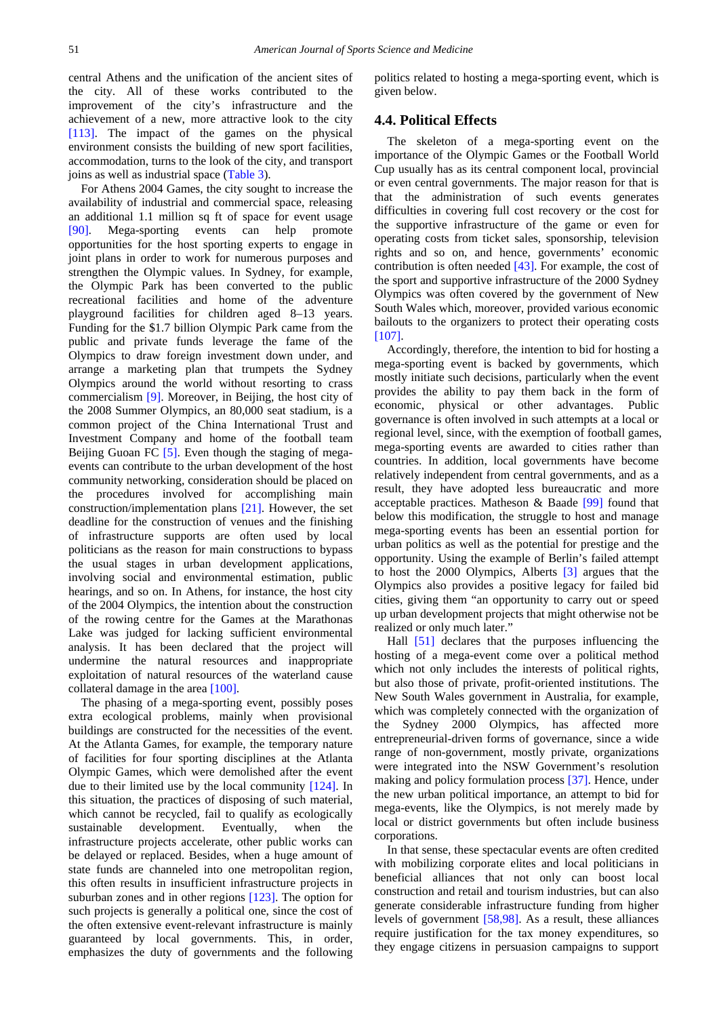central Athens and the unification of the ancient sites of the city. All of these works contributed to the improvement of the city's infrastructure and the achievement of a new, more attractive look to the city [\[113\].](#page-11-39) The impact of the games on the physical environment consists the building of new sport facilities, accommodation, turns to the look of the city, and transport joins as well as industrial space [\(Table 3\)](#page-6-0).

For Athens 2004 Games, the city sought to increase the availability of industrial and commercial space, releasing an additional 1.1 million sq ft of space for event usage [\[90\].](#page-11-40) Mega-sporting events can help promote opportunities for the host sporting experts to engage in joint plans in order to work for numerous purposes and strengthen the Olympic values. In Sydney, for example, the Olympic Park has been converted to the public recreational facilities and home of the adventure playground facilities for children aged 8–13 years. Funding for the \$1.7 billion Olympic Park came from the public and private funds leverage the fame of the Olympics to draw foreign investment down under, and arrange a marketing plan that trumpets the Sydney Olympics around the world without resorting to crass commercialism [\[9\].](#page-9-13) Moreover, in Beijing, the host city of the 2008 Summer Olympics, an 80,000 seat stadium, is a common project of the China International Trust and Investment Company and home of the football team Beijing Guoan FC [\[5\].](#page-9-14) Even though the staging of megaevents can contribute to the urban development of the host community networking, consideration should be placed on the procedures involved for accomplishing main construction/implementation plans [\[21\].](#page-10-44) However, the set deadline for the construction of venues and the finishing of infrastructure supports are often used by local politicians as the reason for main constructions to bypass the usual stages in urban development applications, involving social and environmental estimation, public hearings, and so on. In Athens, for instance, the host city of the 2004 Olympics, the intention about the construction of the rowing centre for the Games at the Marathonas Lake was judged for lacking sufficient environmental analysis. It has been declared that the project will undermine the natural resources and inappropriate exploitation of natural resources of the waterland cause collateral damage in the area [\[100\].](#page-11-41)

The phasing of a mega-sporting event, possibly poses extra ecological problems, mainly when provisional buildings are constructed for the necessities of the event. At the Atlanta Games, for example, the temporary nature of facilities for four sporting disciplines at the Atlanta Olympic Games, which were demolished after the event due to their limited use by the local community [\[124\].](#page-11-42) In this situation, the practices of disposing of such material, which cannot be recycled, fail to qualify as ecologically sustainable development. Eventually, when the infrastructure projects accelerate, other public works can be delayed or replaced. Besides, when a huge amount of state funds are channeled into one metropolitan region, this often results in insufficient infrastructure projects in suburban zones and in other regions [\[123\].](#page-11-43) The option for such projects is generally a political one, since the cost of the often extensive event-relevant infrastructure is mainly guaranteed by local governments. This, in order, emphasizes the duty of governments and the following

politics related to hosting a mega-sporting event, which is given below.

#### **4.4. Political Effects**

The skeleton of a mega-sporting event on the importance of the Olympic Games or the Football World Cup usually has as its central component local, provincial or even central governments. The major reason for that is that the administration of such events generates difficulties in covering full cost recovery or the cost for the supportive infrastructure of the game or even for operating costs from ticket sales, sponsorship, television rights and so on, and hence, governments' economic contribution is often needed [\[43\].](#page-10-45) For example, the cost of the sport and supportive infrastructure of the 2000 Sydney Olympics was often covered by the government of New South Wales which, moreover, provided various economic bailouts to the organizers to protect their operating costs [\[107\].](#page-11-44)

Accordingly, therefore, the intention to bid for hosting a mega-sporting event is backed by governments, which mostly initiate such decisions, particularly when the event provides the ability to pay them back in the form of economic, physical or other advantages. Public governance is often involved in such attempts at a local or regional level, since, with the exemption of football games, mega-sporting events are awarded to cities rather than countries. In addition, local governments have become relatively independent from central governments, and as a result, they have adopted less bureaucratic and more acceptable practices. Matheson & Baade [\[99\]](#page-11-45) found that below this modification, the struggle to host and manage mega-sporting events has been an essential portion for urban politics as well as the potential for prestige and the opportunity. Using the example of Berlin's failed attempt to host the 2000 Olympics, Alberts [\[3\]](#page-9-15) argues that the Olympics also provides a positive legacy for failed bid cities, giving them "an opportunity to carry out or speed up urban development projects that might otherwise not be realized or only much later."

Hall [\[51\]](#page-10-46) declares that the purposes influencing the hosting of a mega-event come over a political method which not only includes the interests of political rights, but also those of private, profit-oriented institutions. The New South Wales government in Australia, for example, which was completely connected with the organization of the Sydney 2000 Olympics, has affected more entrepreneurial-driven forms of governance, since a wide range of non-government, mostly private, organizations were integrated into the NSW Government's resolution making and policy formulation process [\[37\].](#page-10-47) Hence, under the new urban political importance, an attempt to bid for mega-events, like the Olympics, is not merely made by local or district governments but often include business corporations.

In that sense, these spectacular events are often credited with mobilizing corporate elites and local politicians in beneficial alliances that not only can boost local construction and retail and tourism industries, but can also generate considerable infrastructure funding from higher levels of government [\[58,98\].](#page-10-48) As a result, these alliances require justification for the tax money expenditures, so they engage citizens in persuasion campaigns to support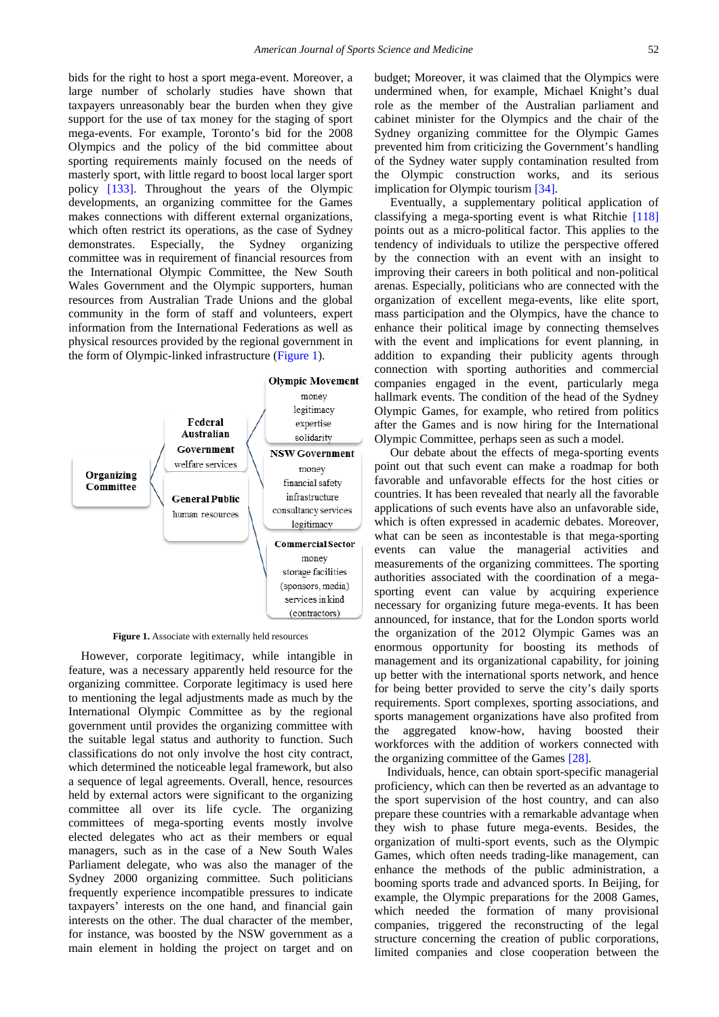bids for the right to host a sport mega-event. Moreover, a large number of scholarly studies have shown that taxpayers unreasonably bear the burden when they give support for the use of tax money for the staging of sport mega-events. For example, Toronto's bid for the 2008 Olympics and the policy of the bid committee about sporting requirements mainly focused on the needs of masterly sport, with little regard to boost local larger sport policy [\[133\].](#page-12-11) Throughout the years of the Olympic developments, an organizing committee for the Games makes connections with different external organizations, which often restrict its operations, as the case of Sydney demonstrates. Especially, the Sydney organizing committee was in requirement of financial resources from the International Olympic Committee, the New South Wales Government and the Olympic supporters, human resources from Australian Trade Unions and the global community in the form of staff and volunteers, expert information from the International Federations as well as physical resources provided by the regional government in the form of Olympic-linked infrastructure [\(Figure 1\)](#page-8-0).

<span id="page-8-0"></span>

**Figure 1.** Associate with externally held resources

However, corporate legitimacy, while intangible in feature, was a necessary apparently held resource for the organizing committee. Corporate legitimacy is used here to mentioning the legal adjustments made as much by the International Olympic Committee as by the regional government until provides the organizing committee with the suitable legal status and authority to function. Such classifications do not only involve the host city contract, which determined the noticeable legal framework, but also a sequence of legal agreements. Overall, hence, resources held by external actors were significant to the organizing committee all over its life cycle. The organizing committees of mega-sporting events mostly involve elected delegates who act as their members or equal managers, such as in the case of a New South Wales Parliament delegate, who was also the manager of the Sydney 2000 organizing committee. Such politicians frequently experience incompatible pressures to indicate taxpayers' interests on the one hand, and financial gain interests on the other. The dual character of the member, for instance, was boosted by the NSW government as a main element in holding the project on target and on budget; Moreover, it was claimed that the Olympics were undermined when, for example, Michael Knight's dual role as the member of the Australian parliament and cabinet minister for the Olympics and the chair of the Sydney organizing committee for the Olympic Games prevented him from criticizing the Government's handling of the Sydney water supply contamination resulted from the Olympic construction works, and its serious implication for Olympic tourism [\[34\].](#page-10-49)

Eventually, a supplementary political application of classifying a mega-sporting event is what Ritchie [\[118\]](#page-11-46) points out as a micro-political factor. This applies to the tendency of individuals to utilize the perspective offered by the connection with an event with an insight to improving their careers in both political and non-political arenas. Especially, politicians who are connected with the organization of excellent mega-events, like elite sport, mass participation and the Olympics, have the chance to enhance their political image by connecting themselves with the event and implications for event planning, in addition to expanding their publicity agents through connection with sporting authorities and commercial companies engaged in the event, particularly mega hallmark events. The condition of the head of the Sydney Olympic Games, for example, who retired from politics after the Games and is now hiring for the International Olympic Committee, perhaps seen as such a model.

Our debate about the effects of mega-sporting events point out that such event can make a roadmap for both favorable and unfavorable effects for the host cities or countries. It has been revealed that nearly all the favorable applications of such events have also an unfavorable side, which is often expressed in academic debates. Moreover, what can be seen as incontestable is that mega-sporting events can value the managerial activities and measurements of the organizing committees. The sporting authorities associated with the coordination of a megasporting event can value by acquiring experience necessary for organizing future mega-events. It has been announced, for instance, that for the London sports world the organization of the 2012 Olympic Games was an enormous opportunity for boosting its methods of management and its organizational capability, for joining up better with the international sports network, and hence for being better provided to serve the city's daily sports requirements. Sport complexes, sporting associations, and sports management organizations have also profited from the aggregated know-how, having boosted their workforces with the addition of workers connected with the organizing committee of the Game[s \[28\].](#page-10-50)

Individuals, hence, can obtain sport-specific managerial proficiency, which can then be reverted as an advantage to the sport supervision of the host country, and can also prepare these countries with a remarkable advantage when they wish to phase future mega-events. Besides, the organization of multi-sport events, such as the Olympic Games, which often needs trading-like management, can enhance the methods of the public administration, a booming sports trade and advanced sports. In Beijing, for example, the Olympic preparations for the 2008 Games, which needed the formation of many provisional companies, triggered the reconstructing of the legal structure concerning the creation of public corporations, limited companies and close cooperation between the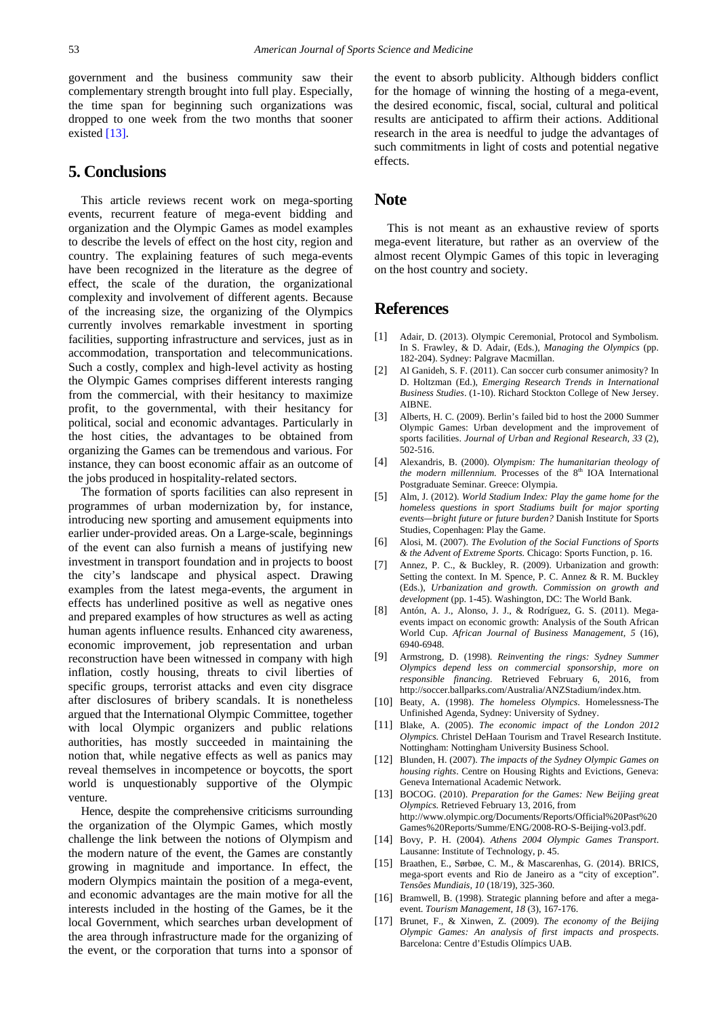government and the business community saw their complementary strength brought into full play. Especially, the time span for beginning such organizations was dropped to one week from the two months that sooner existe[d \[13\].](#page-9-16)

# **5. Conclusions**

This article reviews recent work on mega-sporting events, recurrent feature of mega-event bidding and organization and the Olympic Games as model examples to describe the levels of effect on the host city, region and country. The explaining features of such mega-events have been recognized in the literature as the degree of effect, the scale of the duration, the organizational complexity and involvement of different agents. Because of the increasing size, the organizing of the Olympics currently involves remarkable investment in sporting facilities, supporting infrastructure and services, just as in accommodation, transportation and telecommunications. Such a costly, complex and high-level activity as hosting the Olympic Games comprises different interests ranging from the commercial, with their hesitancy to maximize profit, to the governmental, with their hesitancy for political, social and economic advantages. Particularly in the host cities, the advantages to be obtained from organizing the Games can be tremendous and various. For instance, they can boost economic affair as an outcome of the jobs produced in hospitality-related sectors.

The formation of sports facilities can also represent in programmes of urban modernization by, for instance, introducing new sporting and amusement equipments into earlier under-provided areas. On a Large-scale, beginnings of the event can also furnish a means of justifying new investment in transport foundation and in projects to boost the city's landscape and physical aspect. Drawing examples from the latest mega-events, the argument in effects has underlined positive as well as negative ones and prepared examples of how structures as well as acting human agents influence results. Enhanced city awareness, economic improvement, job representation and urban reconstruction have been witnessed in company with high inflation, costly housing, threats to civil liberties of specific groups, terrorist attacks and even city disgrace after disclosures of bribery scandals. It is nonetheless argued that the International Olympic Committee, together with local Olympic organizers and public relations authorities, has mostly succeeded in maintaining the notion that, while negative effects as well as panics may reveal themselves in incompetence or boycotts, the sport world is unquestionably supportive of the Olympic venture.

Hence, despite the comprehensive criticisms surrounding the organization of the Olympic Games, which mostly challenge the link between the notions of Olympism and the modern nature of the event, the Games are constantly growing in magnitude and importance. In effect, the modern Olympics maintain the position of a mega-event, and economic advantages are the main motive for all the interests included in the hosting of the Games, be it the local Government, which searches urban development of the area through infrastructure made for the organizing of the event, or the corporation that turns into a sponsor of

the event to absorb publicity. Although bidders conflict for the homage of winning the hosting of a mega-event, the desired economic, fiscal, social, cultural and political results are anticipated to affirm their actions. Additional research in the area is needful to judge the advantages of such commitments in light of costs and potential negative effects.

#### **Note**

This is not meant as an exhaustive review of sports mega-event literature, but rather as an overview of the almost recent Olympic Games of this topic in leveraging on the host country and society.

### **References**

- <span id="page-9-1"></span>[1] Adair, D. (2013). Olympic Ceremonial, Protocol and Symbolism*.*  In S. Frawley, & D. Adair, (Eds.), *Managing the Olympics* (pp. 182-204). Sydney: Palgrave Macmillan.
- <span id="page-9-9"></span>[2] Al Ganideh, S. F. (2011). Can soccer curb consumer animosity? In D. Holtzman (Ed.), *Emerging Research Trends in International Business Studies*. (1-10). Richard Stockton College of New Jersey. AIBNE.
- <span id="page-9-15"></span>[3] Alberts, H. C. (2009). Berlin's failed bid to host the 2000 Summer Olympic Games: Urban development and the improvement of sports facilities. *Journal of Urban and Regional Research, 33* (2), 502-516.
- <span id="page-9-0"></span>[4] Alexandris, B. (2000). *Olympism: The humanitarian theology of the modern millennium.* Processes of the 8<sup>th</sup> IOA International Postgraduate Seminar. Greece: Olympia.
- <span id="page-9-14"></span>[5] Alm, J. (2012). *World Stadium Index: Play the game home for the homeless questions in sport Stadiums built for major sporting events—bright future or future burden?* Danish Institute for Sports Studies, Copenhagen: Play the Game.
- <span id="page-9-5"></span>[6] Alosi, M. (2007). *The Evolution of the Social Functions of Sports & the Advent of Extreme Sports.* Chicago: Sports Function, p. 16.
- <span id="page-9-7"></span>[7] Annez, P. C., & Buckley, R. (2009). Urbanization and growth: Setting the context. In M. Spence, P. C. Annez & R. M. Buckley (Eds.), *Urbanization and growth. Commission on growth and development* (pp. 1-45). Washington, DC: The World Bank.
- <span id="page-9-2"></span>[8] Antón, A. J., Alonso, J. J., & Rodríguez, G. S. (2011). Megaevents impact on economic growth: Analysis of the South African World Cup. *African Journal of Business Management, 5* (16), 6940-6948.
- <span id="page-9-13"></span>[9] Armstrong, D. (1998). *Reinventing the rings: Sydney Summer Olympics depend less on commercial sponsorship, more on responsible financing.* Retrieved February 6, 2016, from http://soccer.ballparks.com/Australia/ANZStadium/index.htm.
- <span id="page-9-10"></span>[10] Beaty, A. (1998). *The homeless Olympics*. Homelessness-The Unfinished Agenda, Sydney: University of Sydney.
- <span id="page-9-8"></span>[11] Blake, A. (2005). *The economic impact of the London 2012 Olympics.* Christel DeHaan Tourism and Travel Research Institute. Nottingham: Nottingham University Business School.
- <span id="page-9-11"></span>[12] Blunden, H. (2007). *The impacts of the Sydney Olympic Games on housing rights*. Centre on Housing Rights and Evictions, Geneva: Geneva International Academic Network.
- <span id="page-9-16"></span>[13] BOCOG. (2010). *Preparation for the Games: New Beijing great Olympics.* Retrieved February 13, 2016, from http://www.olympic.org/Documents/Reports/Official%20Past%20 Games%20Reports/Summe/ENG/2008-RO-S-Beijing-vol3.pdf.
- <span id="page-9-3"></span>[14] Bovy, P. H. (2004). *Athens 2004 Olympic Games Transport*. Lausanne: Institute of Technology, p. 45.
- <span id="page-9-12"></span>[15] Braathen, E., Sørbøe, C. M., & Mascarenhas, G. (2014). BRICS, mega-sport events and Rio de Janeiro as a "city of exception". *Tensões Mundiais, 10* (18/19), 325-360.
- <span id="page-9-4"></span>[16] Bramwell, B. (1998). Strategic planning before and after a megaevent. *Tourism Management, 18* (3), 167-176.
- <span id="page-9-6"></span>[17] Brunet, F., & Xinwen, Z. (2009). *The economy of the Beijing Olympic Games: An analysis of first impacts and prospects*. Barcelona: Centre d'Estudis Olímpics UAB.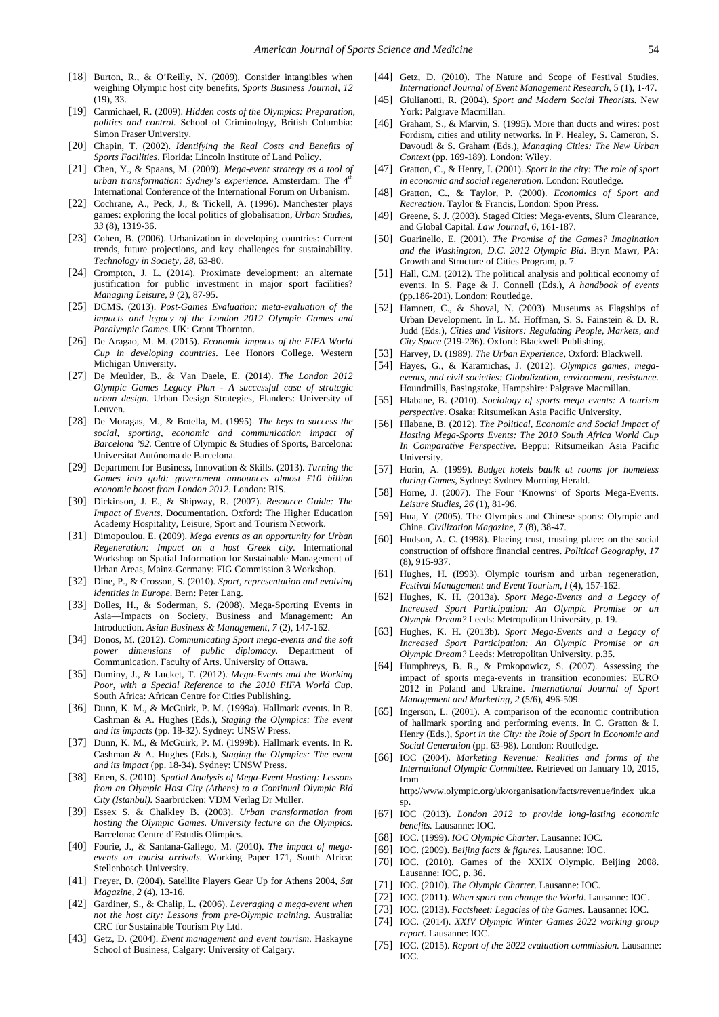- <span id="page-10-37"></span>[18] Burton, R., & O'Reilly, N. (2009). Consider intangibles when weighing Olympic host city benefits, *Sports Business Journal, 12*  (19), 33.
- <span id="page-10-36"></span>[19] Carmichael, R. (2009). *Hidden costs of the Olympics: Preparation, politics and control.* School of Criminology, British Columbia: Simon Fraser University.
- [20] Chapin, T. (2002). *Identifying the Real Costs and Benefits of Sports Facilities*. Florida: Lincoln Institute of Land Policy.
- <span id="page-10-44"></span>[21] Chen, Y., & Spaans, M. (2009). *Mega-event strategy as a tool of urban transformation: Sydney's experience.* Amsterdam: The 4 International Conference of the International Forum on Urbanism.
- <span id="page-10-23"></span>[22] Cochrane, A., Peck, J., & Tickell, A. (1996). Manchester plays games: exploring the local politics of globalisation, *Urban Studies, 33* (8), 1319-36.
- <span id="page-10-19"></span>[23] Cohen, B. (2006). Urbanization in developing countries: Current trends, future projections, and key challenges for sustainability. *Technology in Society, 28*, 63-80.
- <span id="page-10-42"></span>[24] Crompton, J. L. (2014). Proximate development: an alternate justification for public investment in major sport facilities? *Managing Leisure, 9* (2), 87-95.
- <span id="page-10-3"></span>[25] DCMS. (2013). *Post-Games Evaluation: meta-evaluation of the impacts and legacy of the London 2012 Olympic Games and Paralympic Games*. UK: Grant Thornton.
- <span id="page-10-31"></span>[26] De Aragao, M. M. (2015). *Economic impacts of the FIFA World Cup in developing countries.* Lee Honors College. Western Michigan University.
- <span id="page-10-40"></span>[27] De Meulder, B., & Van Daele, E. (2014). *The London 2012 Olympic Games Legacy Plan - A successful case of strategic urban design.* Urban Design Strategies, Flanders: University of Leuven.
- <span id="page-10-50"></span>[28] De Moragas, M., & Botella, M. (1995). *The keys to success the social, sporting, economic and communication impact of Barcelona '92.* Centre of Olympic & Studies of Sports, Barcelona: Universitat Autónoma de Barcelona.
- [29] Department for Business, Innovation & Skills. (2013). *Turning the Games into gold: government announces almost £10 billion economic boost from London 2012*. London: BIS.
- <span id="page-10-2"></span>[30] Dickinson, J. E., & Shipway, R. (2007). *Resource Guide: The Impact of Events*. Documentation. Oxford: The Higher Education Academy Hospitality, Leisure, Sport and Tourism Network.
- <span id="page-10-41"></span>[31] Dimopoulou, E. (2009). *Mega events as an opportunity for Urban Regeneration: Impact on a host Greek city*. International Workshop on Spatial Information for Sustainable Management of Urban Areas, Mainz-Germany: FIG Commission 3 Workshop.
- <span id="page-10-28"></span>[32] Dine, P., & Crosson, S. (2010). *Sport, representation and evolving identities in Europe*. Bern: Peter Lang.
- <span id="page-10-16"></span>[33] Dolles, H., & Soderman, S. (2008). Mega-Sporting Events in Asia—Impacts on Society, Business and Management: An Introduction. *Asian Business & Management*, *7* (2), 147-162.
- <span id="page-10-49"></span>[34] Donos, M. (2012). *Communicating Sport mega-events and the soft power dimensions of public diplomacy*. Department Communication. Faculty of Arts. University of Ottawa.
- <span id="page-10-15"></span>[35] Duminy, J., & Lucket, T. (2012). *Mega-Events and the Working Poor, with a Special Reference to the 2010 FIFA World Cup*. South Africa: African Centre for Cities Publishing.
- <span id="page-10-17"></span>[36] Dunn, K. M., & McGuirk, P. M. (1999a). Hallmark events. In R. Cashman & A. Hughes (Eds.), *Staging the Olympics: The event and its impacts* (pp. 18-32). Sydney: UNSW Press.
- <span id="page-10-47"></span>[37] Dunn, K. M., & McGuirk, P. M. (1999b). Hallmark events. In R. Cashman & A. Hughes (Eds.), *Staging the Olympics: The event and its impact* (pp. 18-34). Sydney: UNSW Press.
- <span id="page-10-11"></span>[38] Erten, S. (2010). *Spatial Analysis of Mega-Event Hosting: Lessons from an Olympic Host City (Athens) to a Continual Olympic Bid City (Istanbul).* Saarbrücken: VDM Verlag Dr Muller.
- <span id="page-10-5"></span>[39] Essex S. & Chalkley B. (2003). *Urban transformation from hosting the Olympic Games. University lecture on the Olympics*. Barcelona: Centre d'Estudis Olímpics.
- <span id="page-10-34"></span>[40] Fourie, J., & Santana-Gallego, M. (2010). *The impact of megaevents on tourist arrivals.* Working Paper 171, South Africa: Stellenbosch University.
- <span id="page-10-10"></span>[41] Freyer, D. (2004). Satellite Players Gear Up for Athens 2004, *Sat Magazine, 2* (4), 13-16.
- <span id="page-10-38"></span>[42] Gardiner, S., & Chalip, L. (2006). *Leveraging a mega-event when not the host city: Lessons from pre-Olympic training.* Australia: CRC for Sustainable Tourism Pty Ltd.
- <span id="page-10-45"></span>[43] Getz, D. (2004). *Event management and event tourism*. Haskayne School of Business, Calgary: University of Calgary.
- <span id="page-10-4"></span>[44] Getz, D. (2010). The Nature and Scope of Festival Studies. *International Journal of Event Management Research*, 5 (1), 1-47.
- <span id="page-10-8"></span>[45] Giulianotti, R. (2004). *Sport and Modern Social Theorists.* New York: Palgrave Macmillan.
- <span id="page-10-20"></span>[46] Graham, S., & Marvin, S. (1995). More than ducts and wires: post Fordism, cities and utility networks. In P. Healey, S. Cameron, S. Davoudi & S. Graham (Eds.), *Managing Cities: The New Urban Context* (pp. 169-189). London: Wiley.
- <span id="page-10-12"></span>[47] Gratton, C., & Henry, I. (2001). *Sport in the city: The role of sport in economic and social regeneration*. London: Routledge.
- <span id="page-10-13"></span>[48] Gratton, C., & Taylor, P. (2000). *Economics of Sport and Recreation*, Taylor & Francis, London: Spon Press.
- <span id="page-10-24"></span>[49] Greene, S. J. (2003). Staged Cities: Mega-events, Slum Clearance, and Global Capital. *Law Journal, 6,* 161-187.
- <span id="page-10-26"></span>[50] Guarinello, E. (2001). *The Promise of the Games? Imagination and the Washington, D.C. 2012 Olympic Bid*. Bryn Mawr, PA: Growth and Structure of Cities Program, p. 7.
- <span id="page-10-46"></span>[51] Hall, C.M. (2012). The political analysis and political economy of events. In S. Page & J. Connell (Eds.), *A handbook of events*  (pp.186-201). London: Routledge.
- [52] Hamnett, C., & Shoval, N. (2003). Museums as Flagships of Urban Development. In L. M. Hoffman, S. S. Fainstein & D. R. Judd (Eds.), *Cities and Visitors: Regulating People, Markets, and City Space* (219-236). Oxford: Blackwell Publishing.
- <span id="page-10-21"></span>[53] Harvey, D. (1989). *The Urban Experience*, Oxford: Blackwell.
- <span id="page-10-0"></span>[54] Hayes, G., & Karamichas, J. (2012). *Olympics games, megaevents, and civil societies: Globalization, environment, resistance.* Houndmills, Basingstoke, Hampshire: Palgrave Macmillan.
- <span id="page-10-29"></span>[55] Hlabane, B. (2010). *Sociology of sports mega events: A tourism perspective*. Osaka: Ritsumeikan Asia Pacific University.
- <span id="page-10-18"></span>[56] Hlabane, B. (2012). *The Political, Economic and Social Impact of Hosting Mega-Sports Events: The 2010 South Africa World Cup In Comparative Perspective*. Beppu: Ritsumeikan Asia Pacific University.
- <span id="page-10-35"></span>[57] Horin, A. (1999). *Budget hotels baulk at rooms for homeless during Games*, Sydney: Sydney Morning Herald.
- <span id="page-10-48"></span>[58] Horne, J. (2007). The Four 'Knowns' of Sports Mega-Events. *Leisure Studies, 26* (1), 81-96.
- <span id="page-10-6"></span>[59] Hua, Y. (2005). The Olympics and Chinese sports: Olympic and China. *Civilization Magazine, 7* (8), 38-47.
- <span id="page-10-25"></span>[60] Hudson, A. C. (1998). Placing trust, trusting place: on the social construction of offshore financial centres. *Political Geography, 17* (8), 915-937.
- <span id="page-10-22"></span>[61] Hughes, H. (I993). Olympic tourism and urban regeneration, *Festival Management and Event Tourism, l* (4), 157-162.
- <span id="page-10-1"></span>[62] Hughes, K. H. (2013a). *Sport Mega-Events and a Legacy of Increased Sport Participation: An Olympic Promise or an Olympic Dream?* Leeds: Metropolitan University, p. 19.
- <span id="page-10-27"></span>[63] Hughes, K. H. (2013b). *Sport Mega-Events and a Legacy of Increased Sport Participation: An Olympic Promise or an Olympic Dream?* Leeds: Metropolitan University, p.35.
- <span id="page-10-30"></span>[64] Humphreys, B. R., & Prokopowicz, S. (2007). Assessing the impact of sports mega-events in transition economies: EURO 2012 in Poland and Ukraine. *International Journal of Sport Management and Marketing, 2* (5/6), 496-509.
- <span id="page-10-14"></span>[65] Ingerson, L. (2001). A comparison of the economic contribution of hallmark sporting and performing events. In C. Gratton & I. Henry (Eds.), *Sport in the City: the Role of Sport in Economic and Social Generation* (pp. 63-98). London: Routledge.
- <span id="page-10-9"></span>[66] IOC (2004). *Marketing Revenue: Realities and forms of the International Olympic Committee.* Retrieved on January 10, 2015, from http://www.olympic.org/uk/organisation/facts/revenue/index\_uk.a
- sp. [67] IOC (2013). *London 2012 to provide long-lasting economic*
- <span id="page-10-7"></span>*benefits.* Lausanne: IOC. [68] IOC. (1999). *IOC Olympic Charter*. Lausanne: IOC.
- <span id="page-10-32"></span>[69] IOC. (2009). *Beijing facts & figures.* Lausanne: IOC.
- [70] IOC. (2010). Games of the XXIX Olympic, Beijing 2008. Lausanne: IOC, p. 36.
- [71] IOC. (2010). *The Olympic Charter.* Lausanne: IOC.
- <span id="page-10-33"></span>[72] IOC. (2011). *When sport can change the World*. Lausanne: IOC.
- <span id="page-10-39"></span>[73] IOC. (2013). *Factsheet: Legacies of the Games.* Lausanne: IOC.
- <span id="page-10-43"></span>[74] IOC. (2014). *XXIV Olympic Winter Games 2022 working group report.* Lausanne: IOC.
- [75] IOC. (2015). *Report of the 2022 evaluation commission*. Lausanne: IOC.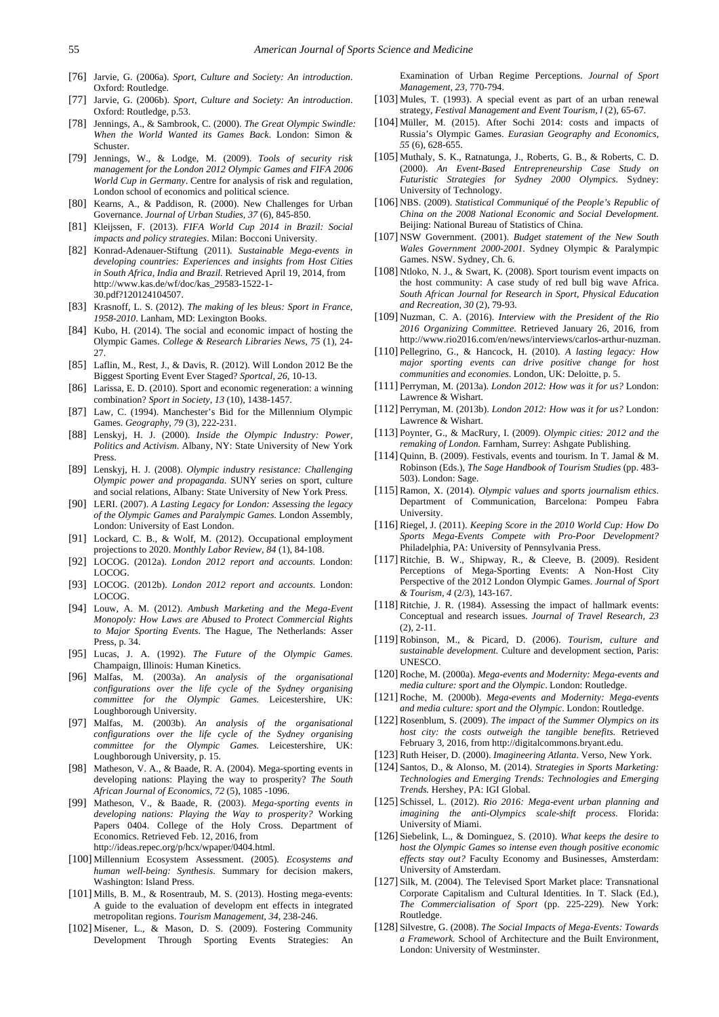- <span id="page-11-32"></span>[76] Jarvie, G. (2006a). *Sport, Culture and Society: An introduction*. Oxford: Routledge.
- <span id="page-11-34"></span>[77] Jarvie, G. (2006b). *Sport, Culture and Society: An introduction*. Oxford: Routledge, p.53.
- <span id="page-11-1"></span>[78] Jennings, A., & Sambrook, C. (2000). *The Great Olympic Swindle: When the World Wanted its Games Back*. London: Simon & Schuster.
- <span id="page-11-22"></span>[79] Jennings, W., & Lodge, M. (2009). *Tools of security risk management for the London 2012 Olympic Games and FIFA 2006 World Cup in Germany*. Centre for analysis of risk and regulation, London school of economics and political science.
- [80] Kearns, A., & Paddison, R. (2000). New Challenges for Urban Governance. *Journal of Urban Studies, 37* (6), 845-850.
- <span id="page-11-16"></span>[81] Kleijssen, F. (2013). *FIFA World Cup 2014 in Brazil: Social impacts and policy strategies*. Milan: Bocconi University.
- [82] Konrad-Adenauer-Stiftung (2011). *Sustainable Mega-events in developing countries: Experiences and insights from Host Cities in South Africa, India and Brazil.* Retrieved April 19, 2014, from http://www.kas.de/wf/doc/kas\_29583-1522-1- 30.pdf?120124104507.
- <span id="page-11-37"></span>[83] Krasnoff, L. S. (2012). *The making of les bleus: Sport in France, 1958-2010*. Lanham, MD: Lexington Books.
- [84] Kubo, H. (2014). The social and economic impact of hosting the Olympic Games. *College & Research Libraries News, 75* (1), 24- 27.
- <span id="page-11-2"></span>[85] Laflin, M., Rest, J., & Davis, R. (2012). Will London 2012 Be the Biggest Sporting Event Ever Staged? *Sportcal, 26*, 10-13.
- <span id="page-11-11"></span>[86] Larissa, E. D. (2010). Sport and economic regeneration: a winning combination? *Sport in Society, 13* (10), 1438-1457.
- <span id="page-11-10"></span>[87] Law, C. (1994). Manchester's Bid for the Millennium Olympic Games. *Geography, 79* (3), 222-231.
- <span id="page-11-5"></span>[88] Lenskyj, H. J. (2000). *Inside the Olympic Industry: Power, Politics and Activism*. Albany, NY: State University of New York Press.
- <span id="page-11-21"></span>[89] Lenskyj, H. J. (2008). *Olympic industry resistance: Challenging Olympic power and propaganda.* SUNY series on sport, culture and social relations, Albany: State University of New York Press.
- <span id="page-11-40"></span>[90] LERI. (2007). *A Lasting Legacy for London: Assessing the legacy of the Olympic Games and Paralympic Games.* London Assembly, London: University of East London.
- <span id="page-11-20"></span>[91] Lockard, C. B., & Wolf, M. (2012). Occupational employment projections to 2020. *Monthly Labor Review, 84* (1), 84-108.
- <span id="page-11-33"></span>[92] LOCOG. (2012a). *London 2012 report and accounts*. London: LOCOG.
- <span id="page-11-36"></span>[93] LOCOG. (2012b). *London 2012 report and accounts*. London: LOCOG.
- <span id="page-11-13"></span>[94] Louw, A. M. (2012). *Ambush Marketing and the Mega-Event Monopoly: How Laws are Abused to Protect Commercial Rights to Major Sporting Events*. The Hague, The Netherlands: Asser Press, p. 34.
- <span id="page-11-0"></span>[95] Lucas, J. A. (1992). *The Future of the Olympic Games*. Champaign, Illinois: Human Kinetics.
- <span id="page-11-4"></span>[96] Malfas, M. (2003a). *An analysis of the organisational configurations over the life cycle of the Sydney organising committee for the Olympic Games.* Leicestershire, UK: Loughborough University.
- <span id="page-11-12"></span>[97] Malfas, M. (2003b). *An analysis of the organisational configurations over the life cycle of the Sydney organising committee for the Olympic Games.* Leicestershire, UK: Loughborough University, p. 15.
- [98] Matheson, V. A., & Baade, R. A. (2004). Mega-sporting events in developing nations: Playing the way to prosperity? *The South African Journal of Economics, 72* (5), 1085 -1096.
- <span id="page-11-45"></span>[99] Matheson, V., & Baade, R. (2003). *Mega-sporting events in developing nations: Playing the Way to prosperity?* Working Papers 0404. College of the Holy Cross. Department of Economics. Retrieved Feb. 12, 2016, from http://ideas.repec.org/p/hcx/wpaper/0404.html.
- <span id="page-11-41"></span>[100] Millennium Ecosystem Assessment. (2005). *Ecosystems and human well-being: Synthesis.* Summary for decision makers, Washington: Island Press.
- <span id="page-11-25"></span>[101] Mills, B. M., & Rosentraub, M. S. (2013). Hosting mega-events: A guide to the evaluation of developm ent effects in integrated metropolitan regions. *Tourism Management, 34*, 238-246.
- <span id="page-11-6"></span>[102] Misener, L., & Mason, D. S. (2009). Fostering Community Development Through Sporting Events Strategies: An

Examination of Urban Regime Perceptions. *Journal of Sport Management, 23,* 770-794.

- [103] Mules, T. (1993). A special event as part of an urban renewal strategy, *Festival Management and Event Tourism, l* (2), 65-67.
- <span id="page-11-26"></span>[104] Müller, M. (2015). After Sochi 2014: costs and impacts of Russia's Olympic Games. *Eurasian Geography and Economics, 55* (6), 628-655.
- <span id="page-11-8"></span>[105] Muthaly, S. K., Ratnatunga, J., Roberts, G. B., & Roberts, C. D. (2000). *An Event-Based Entrepreneurship Case Study on Futuristic Strategies for Sydney 2000 Olympics*. Sydney: University of Technology.
- <span id="page-11-19"></span>[106] NBS. (2009). *Statistical Communiqué of the People's Republic of China on the 2008 National Economic and Social Development.* Beijing: National Bureau of Statistics of China.
- <span id="page-11-44"></span>[107] NSW Government. (2001). *Budget statement of the New South Wales Government 2000-2001.* Sydney Olympic & Paralympic Games. NSW. Sydney, Ch. 6.
- <span id="page-11-17"></span>[108] Ntloko, N. J., & Swart, K. (2008). Sport tourism event impacts on the host community: A case study of red bull big wave Africa. *South African Journal for Research in Sport, Physical Education and Recreation, 30* (2), 79-93.
- <span id="page-11-31"></span>[109] Nuzman, C. A. (2016). *Interview with the President of the Rio 2016 Organizing Committee*. Retrieved January 26, 2016, from http://www.rio2016.com/en/news/interviews/carlos-arthur-nuzman.
- <span id="page-11-14"></span>[110] Pellegrino, G., & Hancock, H. (2010). *A lasting legacy: How major sporting events can drive positive change for host communities and economies*. London, UK: Deloitte, p. 5.
- <span id="page-11-28"></span>[111] Perryman, M. (2013a). *London 2012: How was it for us?* London: Lawrence & Wishart.
- <span id="page-11-29"></span>[112] Perryman, M. (2013b). *London 2012: How was it for us?* London: Lawrence & Wishart.
- <span id="page-11-39"></span>[113] Poynter, G., & MacRury, I. (2009). *Olympic cities: 2012 and the remaking of London.* Farnham, Surrey: Ashgate Publishing.
- <span id="page-11-15"></span>[114] Quinn, B. (2009). Festivals, events and tourism. In T. Jamal & M. Robinson (Eds.), *The Sage Handbook of Tourism Studies* (pp. 483- 503). London: Sage.
- <span id="page-11-24"></span>[115] Ramon, X. (2014). *Olympic values and sports journalism ethics*. Department of Communication, Barcelona: Pompeu Fabra University.
- [116] Riegel, J. (2011). *Keeping Score in the 2010 World Cup: How Do Sports Mega-Events Compete with Pro-Poor Development?* Philadelphia, PA: University of Pennsylvania Press.
- <span id="page-11-30"></span>[117] Ritchie, B. W., Shipway, R., & Cleeve, B. (2009). Resident Perceptions of Mega-Sporting Events: A Non-Host City Perspective of the 2012 London Olympic Games. *Journal of Sport & Tourism, 4* (2/3), 143-167.
- <span id="page-11-46"></span>[118] Ritchie, J. R. (1984). Assessing the impact of hallmark events: Conceptual and research issues. *Journal of Travel Research, 23* (2), 2-11.
- <span id="page-11-23"></span>[119] Robinson, M., & Picard, D. (2006). *Tourism, culture and sustainable development.* Culture and development section, Paris: UNESCO.
- <span id="page-11-7"></span>[120] Roche, M. (2000a). *Mega-events and Modernity: Mega-events and media culture: sport and the Olympic*. London: Routledge.
- <span id="page-11-9"></span>[121] Roche, M. (2000b). *Mega-events and Modernity: Mega-events and media culture: sport and the Olympic*. London: Routledge.
- <span id="page-11-38"></span>[122] Rosenblum, S. (2009). *The impact of the Summer Olympics on its host city: the costs outweigh the tangible benefits.* Retrieved February 3, 2016, from http://digitalcommons.bryant.edu.
- <span id="page-11-43"></span>[123] Ruth Heiser, D. (2000). *Imagineering Atlanta*. Verso, New York.
- <span id="page-11-42"></span>[124] Santos, D., & Alonso, M. (2014). *Strategies in Sports Marketing: Technologies and Emerging Trends: Technologies and Emerging Trends.* Hershey, PA: IGI Global.
- <span id="page-11-18"></span>[125] Schissel, L. (2012). *Rio 2016: Mega-event urban planning and imagining the anti-Olympics scale-shift process.* Florida: University of Miami.
- <span id="page-11-27"></span>[126] Siebelink, L., & Dominguez, S. (2010). *What keeps the desire to host the Olympic Games so intense even though positive economic effects stay out?* Faculty Economy and Businesses, Amsterdam: University of Amsterdam.
- <span id="page-11-3"></span>[127] Silk, M. (2004). The Televised Sport Market place: Transnational Corporate Capitalism and Cultural Identities*.* In T. Slack (Ed.), *The Commercialisation of Sport* (pp. 225-229). New York: Routledge.
- <span id="page-11-35"></span>[128] Silvestre, G. (2008). *The Social Impacts of Mega-Events: Towards a Framework.* School of Architecture and the Built Environment, London: University of Westminster.